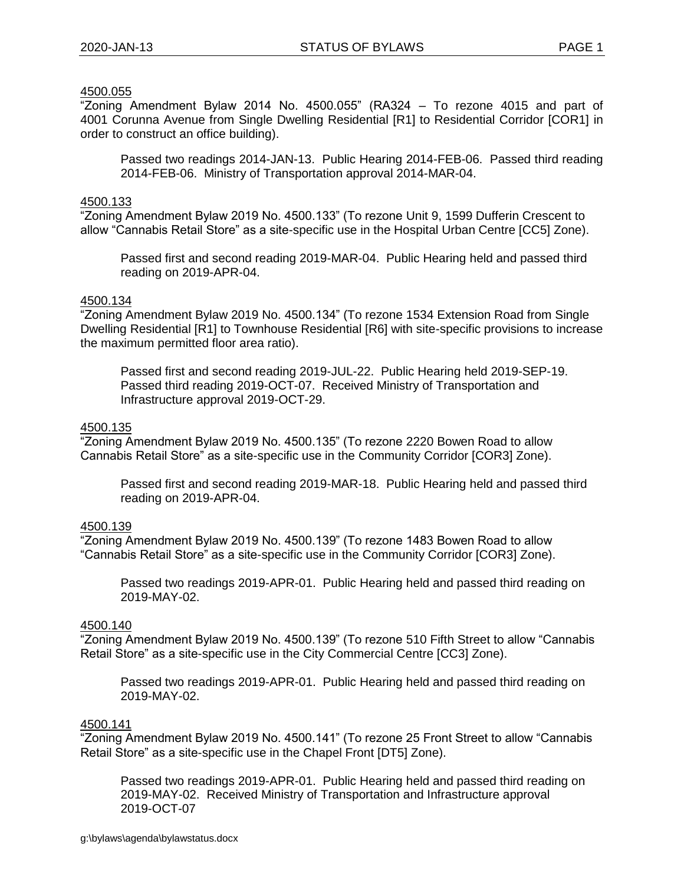### 4500.055

"Zoning Amendment Bylaw 2014 No. 4500.055" (RA324 – To rezone 4015 and part of 4001 Corunna Avenue from Single Dwelling Residential [R1] to Residential Corridor [COR1] in order to construct an office building).

Passed two readings 2014-JAN-13. Public Hearing 2014-FEB-06. Passed third reading 2014-FEB-06. Ministry of Transportation approval 2014-MAR-04.

### 4500.133

"Zoning Amendment Bylaw 2019 No. 4500.133" (To rezone Unit 9, 1599 Dufferin Crescent to allow "Cannabis Retail Store" as a site-specific use in the Hospital Urban Centre [CC5] Zone).

Passed first and second reading 2019-MAR-04. Public Hearing held and passed third reading on 2019-APR-04.

## 4500.134

"Zoning Amendment Bylaw 2019 No. 4500.134" (To rezone 1534 Extension Road from Single Dwelling Residential [R1] to Townhouse Residential [R6] with site-specific provisions to increase the maximum permitted floor area ratio).

Passed first and second reading 2019-JUL-22. Public Hearing held 2019-SEP-19. Passed third reading 2019-OCT-07. Received Ministry of Transportation and Infrastructure approval 2019-OCT-29.

### 4500.135

"Zoning Amendment Bylaw 2019 No. 4500.135" (To rezone 2220 Bowen Road to allow Cannabis Retail Store" as a site-specific use in the Community Corridor [COR3] Zone).

Passed first and second reading 2019-MAR-18. Public Hearing held and passed third reading on 2019-APR-04.

### 4500.139

"Zoning Amendment Bylaw 2019 No. 4500.139" (To rezone 1483 Bowen Road to allow "Cannabis Retail Store" as a site-specific use in the Community Corridor [COR3] Zone).

Passed two readings 2019-APR-01. Public Hearing held and passed third reading on 2019-MAY-02.

### 4500.140

"Zoning Amendment Bylaw 2019 No. 4500.139" (To rezone 510 Fifth Street to allow "Cannabis Retail Store" as a site-specific use in the City Commercial Centre [CC3] Zone).

Passed two readings 2019-APR-01. Public Hearing held and passed third reading on 2019-MAY-02.

### 4500.141

"Zoning Amendment Bylaw 2019 No. 4500.141" (To rezone 25 Front Street to allow "Cannabis Retail Store" as a site-specific use in the Chapel Front [DT5] Zone).

Passed two readings 2019-APR-01. Public Hearing held and passed third reading on 2019-MAY-02. Received Ministry of Transportation and Infrastructure approval 2019-OCT-07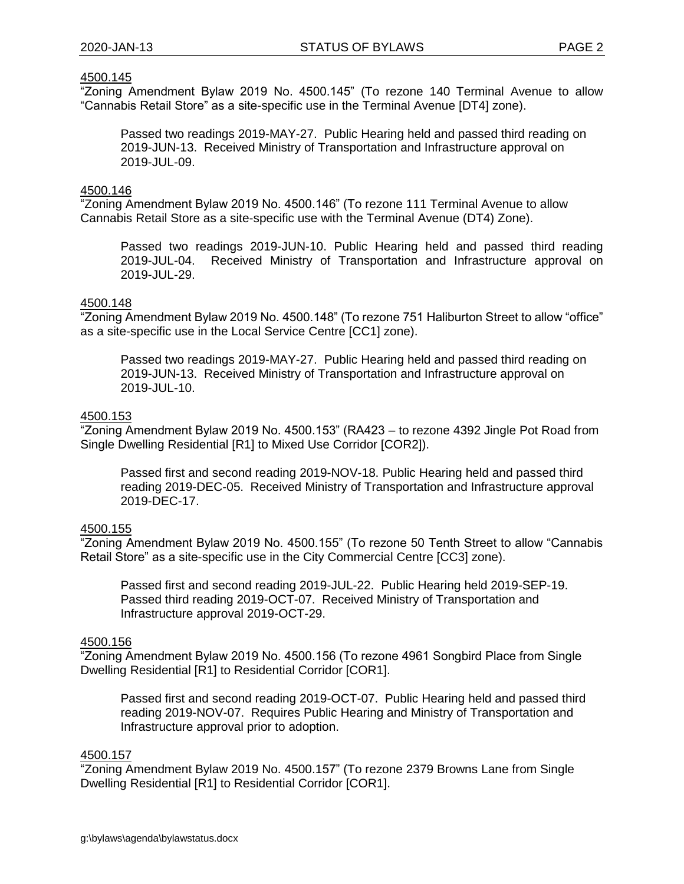## 4500.145

"Zoning Amendment Bylaw 2019 No. 4500.145" (To rezone 140 Terminal Avenue to allow "Cannabis Retail Store" as a site-specific use in the Terminal Avenue [DT4] zone).

Passed two readings 2019-MAY-27. Public Hearing held and passed third reading on 2019-JUN-13. Received Ministry of Transportation and Infrastructure approval on 2019-JUL-09.

### 4500.146

"Zoning Amendment Bylaw 2019 No. 4500.146" (To rezone 111 Terminal Avenue to allow Cannabis Retail Store as a site-specific use with the Terminal Avenue (DT4) Zone).

Passed two readings 2019-JUN-10. Public Hearing held and passed third reading 2019-JUL-04. Received Ministry of Transportation and Infrastructure approval on 2019-JUL-29.

### 4500.148

"Zoning Amendment Bylaw 2019 No. 4500.148" (To rezone 751 Haliburton Street to allow "office" as a site-specific use in the Local Service Centre [CC1] zone).

Passed two readings 2019-MAY-27. Public Hearing held and passed third reading on 2019-JUN-13. Received Ministry of Transportation and Infrastructure approval on 2019-JUL-10.

## 4500.153

"Zoning Amendment Bylaw 2019 No. 4500.153" (RA423 – to rezone 4392 Jingle Pot Road from Single Dwelling Residential [R1] to Mixed Use Corridor [COR2]).

Passed first and second reading 2019-NOV-18. Public Hearing held and passed third reading 2019-DEC-05. Received Ministry of Transportation and Infrastructure approval 2019-DEC-17.

#### 4500.155

"Zoning Amendment Bylaw 2019 No. 4500.155" (To rezone 50 Tenth Street to allow "Cannabis Retail Store" as a site-specific use in the City Commercial Centre [CC3] zone).

Passed first and second reading 2019-JUL-22. Public Hearing held 2019-SEP-19. Passed third reading 2019-OCT-07. Received Ministry of Transportation and Infrastructure approval 2019-OCT-29.

# 4500.156

"Zoning Amendment Bylaw 2019 No. 4500.156 (To rezone 4961 Songbird Place from Single Dwelling Residential [R1] to Residential Corridor [COR1].

Passed first and second reading 2019-OCT-07. Public Hearing held and passed third reading 2019-NOV-07. Requires Public Hearing and Ministry of Transportation and Infrastructure approval prior to adoption.

### 4500.157

"Zoning Amendment Bylaw 2019 No. 4500.157" (To rezone 2379 Browns Lane from Single Dwelling Residential [R1] to Residential Corridor [COR1].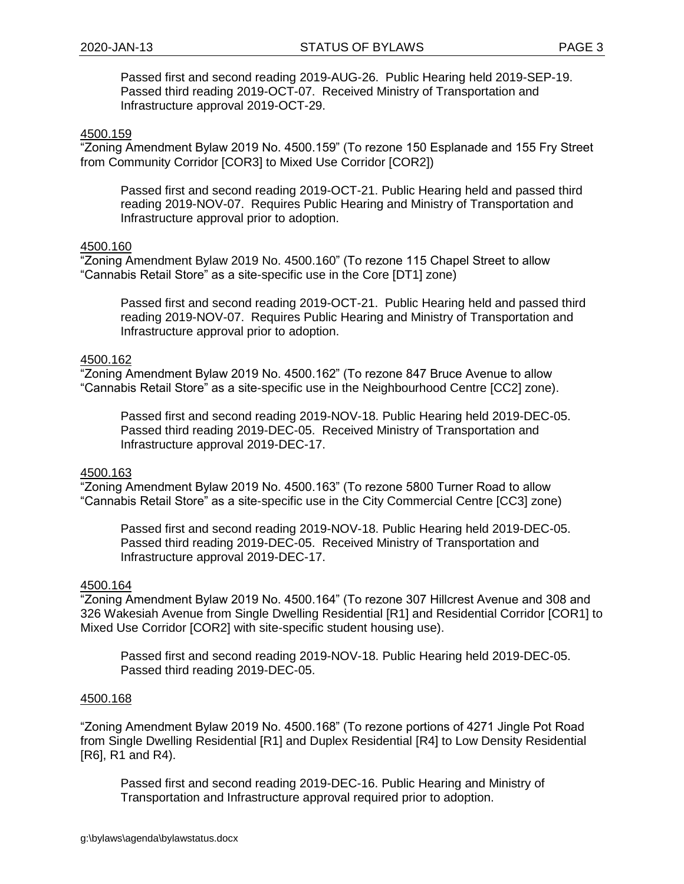Passed first and second reading 2019-AUG-26. Public Hearing held 2019-SEP-19. Passed third reading 2019-OCT-07. Received Ministry of Transportation and Infrastructure approval 2019-OCT-29.

### 4500.159

"Zoning Amendment Bylaw 2019 No. 4500.159" (To rezone 150 Esplanade and 155 Fry Street from Community Corridor [COR3] to Mixed Use Corridor [COR2])

Passed first and second reading 2019-OCT-21. Public Hearing held and passed third reading 2019-NOV-07. Requires Public Hearing and Ministry of Transportation and Infrastructure approval prior to adoption.

# 4500.160

"Zoning Amendment Bylaw 2019 No. 4500.160" (To rezone 115 Chapel Street to allow "Cannabis Retail Store" as a site-specific use in the Core [DT1] zone)

Passed first and second reading 2019-OCT-21. Public Hearing held and passed third reading 2019-NOV-07. Requires Public Hearing and Ministry of Transportation and Infrastructure approval prior to adoption.

## 4500.162

"Zoning Amendment Bylaw 2019 No. 4500.162" (To rezone 847 Bruce Avenue to allow "Cannabis Retail Store" as a site-specific use in the Neighbourhood Centre [CC2] zone).

Passed first and second reading 2019-NOV-18. Public Hearing held 2019-DEC-05. Passed third reading 2019-DEC-05. Received Ministry of Transportation and Infrastructure approval 2019-DEC-17.

#### 4500.163

"Zoning Amendment Bylaw 2019 No. 4500.163" (To rezone 5800 Turner Road to allow "Cannabis Retail Store" as a site-specific use in the City Commercial Centre [CC3] zone)

Passed first and second reading 2019-NOV-18. Public Hearing held 2019-DEC-05. Passed third reading 2019-DEC-05. Received Ministry of Transportation and Infrastructure approval 2019-DEC-17.

#### 4500.164

"Zoning Amendment Bylaw 2019 No. 4500.164" (To rezone 307 Hillcrest Avenue and 308 and 326 Wakesiah Avenue from Single Dwelling Residential [R1] and Residential Corridor [COR1] to Mixed Use Corridor [COR2] with site-specific student housing use).

Passed first and second reading 2019-NOV-18. Public Hearing held 2019-DEC-05. Passed third reading 2019-DEC-05.

#### 4500.168

"Zoning Amendment Bylaw 2019 No. 4500.168" (To rezone portions of 4271 Jingle Pot Road from Single Dwelling Residential [R1] and Duplex Residential [R4] to Low Density Residential [R6], R1 and R4).

Passed first and second reading 2019-DEC-16. Public Hearing and Ministry of Transportation and Infrastructure approval required prior to adoption.